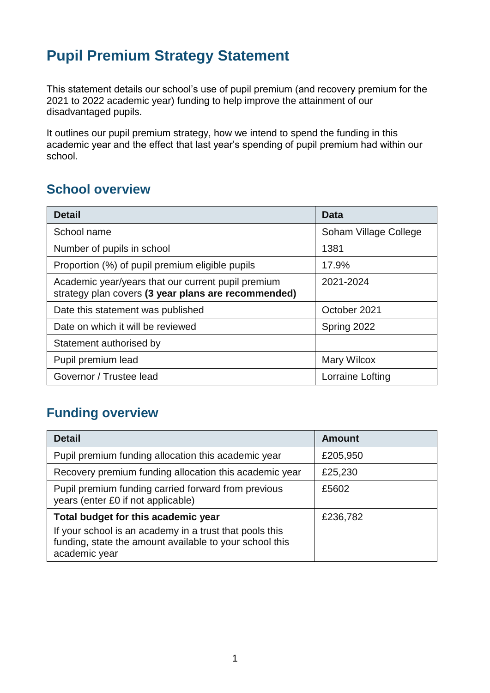# **Pupil Premium Strategy Statement**

This statement details our school's use of pupil premium (and recovery premium for the 2021 to 2022 academic year) funding to help improve the attainment of our disadvantaged pupils.

It outlines our pupil premium strategy, how we intend to spend the funding in this academic year and the effect that last year's spending of pupil premium had within our school.

### **School overview**

| <b>Detail</b>                                                                                             | Data                  |
|-----------------------------------------------------------------------------------------------------------|-----------------------|
| School name                                                                                               | Soham Village College |
| Number of pupils in school                                                                                | 1381                  |
| Proportion (%) of pupil premium eligible pupils                                                           | 17.9%                 |
| Academic year/years that our current pupil premium<br>strategy plan covers (3 year plans are recommended) | 2021-2024             |
| Date this statement was published                                                                         | October 2021          |
| Date on which it will be reviewed                                                                         | Spring 2022           |
| Statement authorised by                                                                                   |                       |
| Pupil premium lead                                                                                        | Mary Wilcox           |
| Governor / Trustee lead                                                                                   | Lorraine Lofting      |

## **Funding overview**

| <b>Detail</b>                                                                                                                       | <b>Amount</b> |
|-------------------------------------------------------------------------------------------------------------------------------------|---------------|
| Pupil premium funding allocation this academic year                                                                                 | £205,950      |
| Recovery premium funding allocation this academic year                                                                              | £25,230       |
| Pupil premium funding carried forward from previous<br>years (enter £0 if not applicable)                                           | £5602         |
| Total budget for this academic year                                                                                                 | £236,782      |
| If your school is an academy in a trust that pools this<br>funding, state the amount available to your school this<br>academic year |               |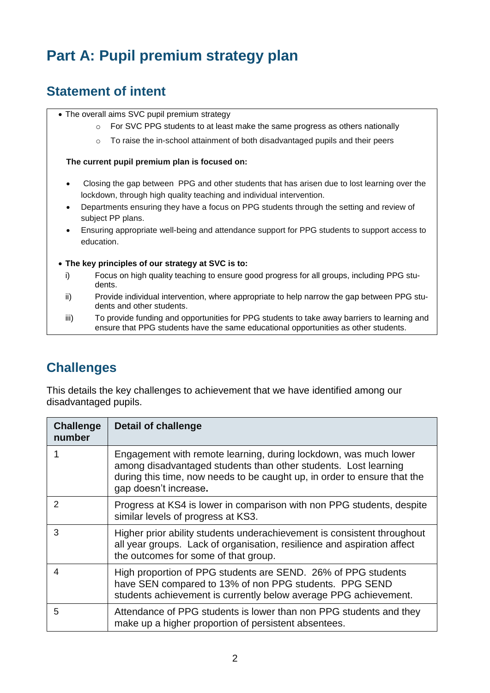# **Part A: Pupil premium strategy plan**

## **Statement of intent**

- The overall aims SVC pupil premium strategy
	- $\circ$  For SVC PPG students to at least make the same progress as others nationally
	- $\circ$  To raise the in-school attainment of both disadvantaged pupils and their peers

#### **The current pupil premium plan is focused on:**

- Closing the gap between PPG and other students that has arisen due to lost learning over the lockdown, through high quality teaching and individual intervention.
- Departments ensuring they have a focus on PPG students through the setting and review of subject PP plans.
- Ensuring appropriate well-being and attendance support for PPG students to support access to education.
- **The key principles of our strategy at SVC is to:**
	- i) Focus on high quality teaching to ensure good progress for all groups, including PPG students.
	- ii) Provide individual intervention, where appropriate to help narrow the gap between PPG students and other students.
	- iii) To provide funding and opportunities for PPG students to take away barriers to learning and ensure that PPG students have the same educational opportunities as other students.

### **Challenges**

This details the key challenges to achievement that we have identified among our disadvantaged pupils.

| <b>Challenge</b><br>number | <b>Detail of challenge</b>                                                                                                                                                                                                               |
|----------------------------|------------------------------------------------------------------------------------------------------------------------------------------------------------------------------------------------------------------------------------------|
|                            | Engagement with remote learning, during lockdown, was much lower<br>among disadvantaged students than other students. Lost learning<br>during this time, now needs to be caught up, in order to ensure that the<br>gap doesn't increase. |
| $\mathcal{P}$              | Progress at KS4 is lower in comparison with non PPG students, despite<br>similar levels of progress at KS3.                                                                                                                              |
| 3                          | Higher prior ability students underachievement is consistent throughout<br>all year groups. Lack of organisation, resilience and aspiration affect<br>the outcomes for some of that group.                                               |
| 4                          | High proportion of PPG students are SEND. 26% of PPG students<br>have SEN compared to 13% of non PPG students. PPG SEND<br>students achievement is currently below average PPG achievement.                                              |
| 5                          | Attendance of PPG students is lower than non PPG students and they<br>make up a higher proportion of persistent absentees.                                                                                                               |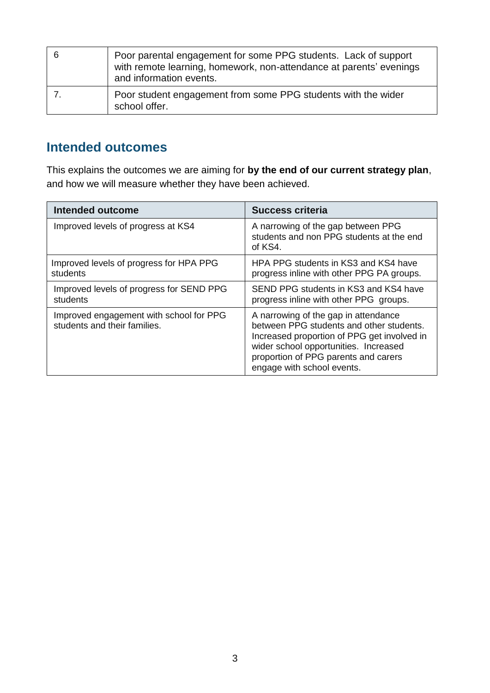| - 6 | Poor parental engagement for some PPG students. Lack of support<br>with remote learning, homework, non-attendance at parents' evenings<br>and information events. |
|-----|-------------------------------------------------------------------------------------------------------------------------------------------------------------------|
|     | Poor student engagement from some PPG students with the wider<br>school offer.                                                                                    |

#### **Intended outcomes**

This explains the outcomes we are aiming for **by the end of our current strategy plan**, and how we will measure whether they have been achieved.

| Intended outcome                                                        | <b>Success criteria</b>                                                                                                                                                                                                                        |
|-------------------------------------------------------------------------|------------------------------------------------------------------------------------------------------------------------------------------------------------------------------------------------------------------------------------------------|
| Improved levels of progress at KS4                                      | A narrowing of the gap between PPG<br>students and non PPG students at the end<br>of KS4.                                                                                                                                                      |
| Improved levels of progress for HPA PPG<br>students                     | HPA PPG students in KS3 and KS4 have<br>progress inline with other PPG PA groups.                                                                                                                                                              |
| Improved levels of progress for SEND PPG<br>students                    | SEND PPG students in KS3 and KS4 have<br>progress inline with other PPG groups.                                                                                                                                                                |
| Improved engagement with school for PPG<br>students and their families. | A narrowing of the gap in attendance<br>between PPG students and other students.<br>Increased proportion of PPG get involved in<br>wider school opportunities. Increased<br>proportion of PPG parents and carers<br>engage with school events. |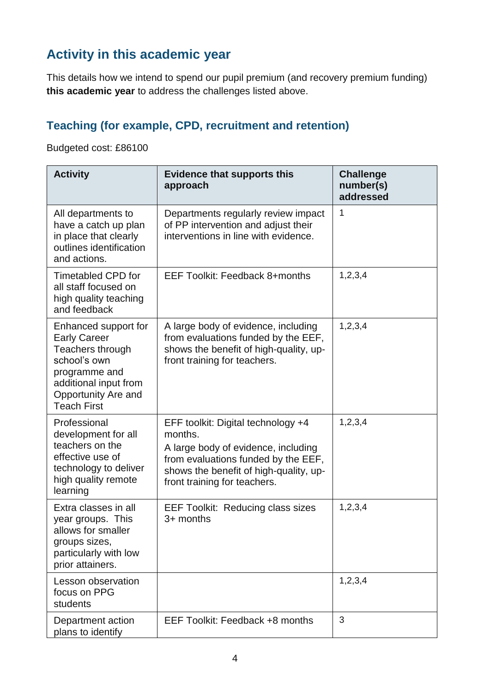## **Activity in this academic year**

This details how we intend to spend our pupil premium (and recovery premium funding) **this academic year** to address the challenges listed above.

## **Teaching (for example, CPD, recruitment and retention)**

Budgeted cost: £86100

| <b>Activity</b>                                                                                                                                                        | <b>Evidence that supports this</b><br>approach                                                                                                                                                        | <b>Challenge</b><br>number(s)<br>addressed |
|------------------------------------------------------------------------------------------------------------------------------------------------------------------------|-------------------------------------------------------------------------------------------------------------------------------------------------------------------------------------------------------|--------------------------------------------|
| All departments to<br>have a catch up plan<br>in place that clearly<br>outlines identification<br>and actions.                                                         | Departments regularly review impact<br>of PP intervention and adjust their<br>interventions in line with evidence.                                                                                    | 1                                          |
| <b>Timetabled CPD for</b><br>all staff focused on<br>high quality teaching<br>and feedback                                                                             | EEF Toolkit: Feedback 8+months                                                                                                                                                                        | 1,2,3,4                                    |
| Enhanced support for<br><b>Early Career</b><br>Teachers through<br>school's own<br>programme and<br>additional input from<br>Opportunity Are and<br><b>Teach First</b> | A large body of evidence, including<br>from evaluations funded by the EEF,<br>shows the benefit of high-quality, up-<br>front training for teachers.                                                  | 1,2,3,4                                    |
| Professional<br>development for all<br>teachers on the<br>effective use of<br>technology to deliver<br>high quality remote<br>learning                                 | EFF toolkit: Digital technology +4<br>months.<br>A large body of evidence, including<br>from evaluations funded by the EEF,<br>shows the benefit of high-quality, up-<br>front training for teachers. | 1,2,3,4                                    |
| Extra classes in all<br>year groups. This<br>allows for smaller<br>groups sizes,<br>particularly with low<br>prior attainers.                                          | <b>EEF Toolkit: Reducing class sizes</b><br>3+ months                                                                                                                                                 | 1, 2, 3, 4                                 |
| Lesson observation<br>focus on PPG<br>students                                                                                                                         |                                                                                                                                                                                                       | 1,2,3,4                                    |
| Department action<br>plans to identify                                                                                                                                 | EEF Toolkit: Feedback +8 months                                                                                                                                                                       | 3                                          |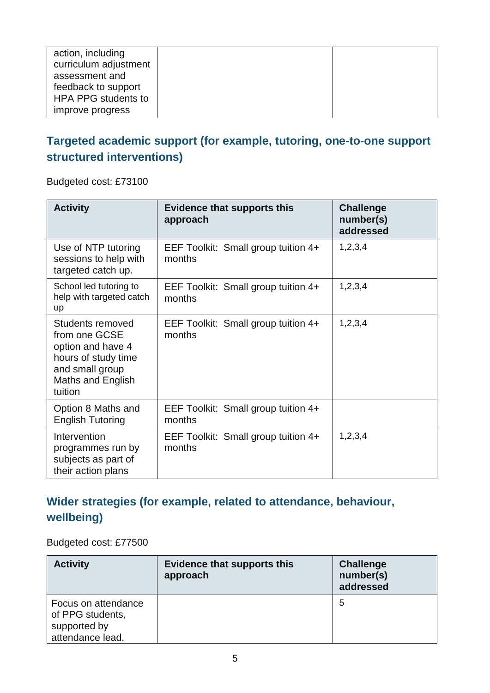| action, including<br>curriculum adjustment<br>assessment and |  |
|--------------------------------------------------------------|--|
| feedback to support<br><b>HPA PPG students to</b>            |  |
| improve progress                                             |  |

### **Targeted academic support (for example, tutoring, one-to-one support structured interventions)**

Budgeted cost: £73100

| <b>Activity</b>                                                                                                                  | <b>Evidence that supports this</b><br>approach | <b>Challenge</b><br>number(s)<br>addressed |
|----------------------------------------------------------------------------------------------------------------------------------|------------------------------------------------|--------------------------------------------|
| Use of NTP tutoring<br>sessions to help with<br>targeted catch up.                                                               | EEF Toolkit: Small group tuition 4+<br>months  | 1,2,3,4                                    |
| School led tutoring to<br>help with targeted catch<br>up                                                                         | EEF Toolkit: Small group tuition 4+<br>months  | 1,2,3,4                                    |
| Students removed<br>from one GCSE<br>option and have 4<br>hours of study time<br>and small group<br>Maths and English<br>tuition | EEF Toolkit: Small group tuition 4+<br>months  | 1,2,3,4                                    |
| Option 8 Maths and<br><b>English Tutoring</b>                                                                                    | EEF Toolkit: Small group tuition 4+<br>months  |                                            |
| Intervention<br>programmes run by<br>subjects as part of<br>their action plans                                                   | EEF Toolkit: Small group tuition 4+<br>months  | 1,2,3,4                                    |

## **Wider strategies (for example, related to attendance, behaviour, wellbeing)**

Budgeted cost: £77500

| <b>Activity</b>                                                             | <b>Evidence that supports this</b><br>approach | <b>Challenge</b><br>number(s)<br>addressed |
|-----------------------------------------------------------------------------|------------------------------------------------|--------------------------------------------|
| Focus on attendance<br>of PPG students,<br>supported by<br>attendance lead, |                                                | 5                                          |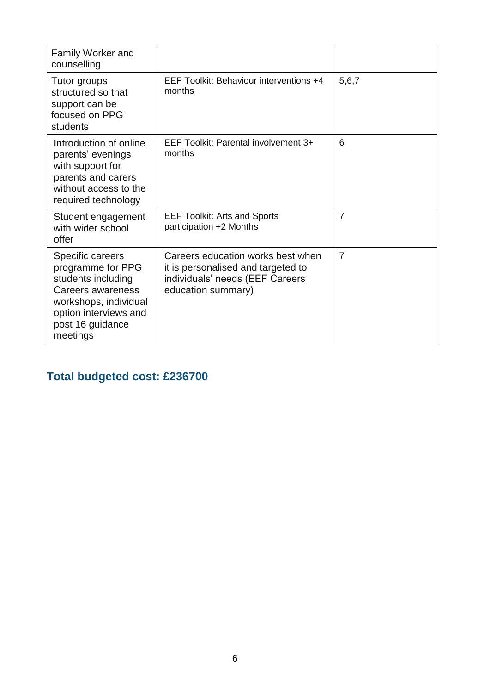| Family Worker and<br>counselling                                                                                                                                   |                                                                                                                                  |                |
|--------------------------------------------------------------------------------------------------------------------------------------------------------------------|----------------------------------------------------------------------------------------------------------------------------------|----------------|
| Tutor groups<br>structured so that<br>support can be<br>focused on PPG<br>students                                                                                 | EEF Toolkit: Behaviour interventions +4<br>months                                                                                | 5,6,7          |
| Introduction of online<br>parents' evenings<br>with support for<br>parents and carers<br>without access to the<br>required technology                              | EEF Toolkit: Parental involvement 3+<br>months                                                                                   | 6              |
| Student engagement<br>with wider school<br>offer                                                                                                                   | <b>EEF Toolkit: Arts and Sports</b><br>participation +2 Months                                                                   | $\overline{7}$ |
| Specific careers<br>programme for PPG<br>students including<br>Careers awareness<br>workshops, individual<br>option interviews and<br>post 16 guidance<br>meetings | Careers education works best when<br>it is personalised and targeted to<br>individuals' needs (EEF Careers<br>education summary) | $\overline{7}$ |

## **Total budgeted cost: £236700**